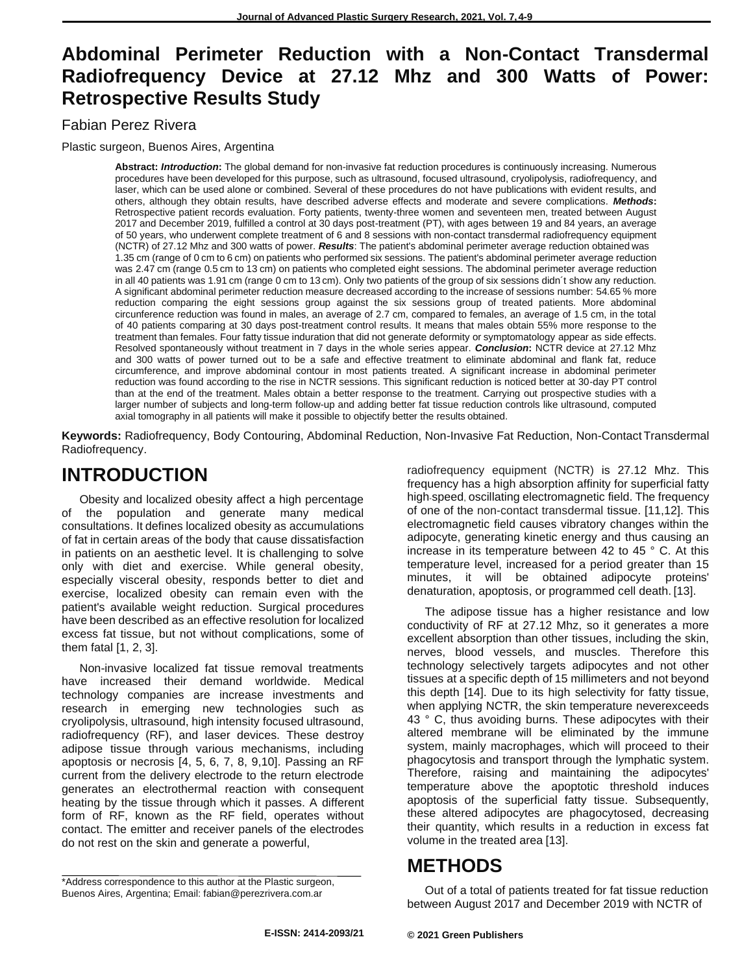## **Abdominal Perimeter Reduction with a Non-Contact Transdermal Radiofrequency Device at 27.12 Mhz and 300 Watts of Power: Retrospective Results Study**

### Fabian Perez Rivera

Plastic surgeon, Buenos Aires, Argentina

**Abstract:** *Introduction***:** The global demand for non-invasive fat reduction procedures is continuously increasing. Numerous procedures have been developed for this purpose, such as ultrasound, focused ultrasound, cryolipolysis, radiofrequency, and laser, which can be used alone or combined. Several of these procedures do not have publications with evident results, and others, although they obtain results, have described adverse effects and moderate and severe complications. *Methods***:**  Retrospective patient records evaluation. Forty patients, twenty-three women and seventeen men, treated between August 2017 and December 2019, fulfilled a control at 30 days post-treatment (PT), with ages between 19 and 84 years, an average of 50 years, who underwent complete treatment of 6 and 8 sessions with non-contact transdermal radiofrequency equipment (NCTR) of 27.12 Mhz and 300 watts of power. *Results*: The patient's abdominal perimeter average reduction obtained was 1.35 cm (range of 0 cm to 6 cm) on patients who performed six sessions. The patient's abdominal perimeter average reduction was 2.47 cm (range 0.5 cm to 13 cm) on patients who completed eight sessions. The abdominal perimeter average reduction in all 40 patients was 1.91 cm (range 0 cm to 13 cm). Only two patients of the group of six sessions didn´t show any reduction. A significant abdominal perimeter reduction measure decreased according to the increase of sessions number: 54.65 % more reduction comparing the eight sessions group against the six sessions group of treated patients. More abdominal circunference reduction was found in males, an average of 2.7 cm, compared to females, an average of 1.5 cm, in the total of 40 patients comparing at 30 days post-treatment control results. It means that males obtain 55% more response to the treatment than females. Four fatty tissue induration that did not generate deformity or symptomatology appear as side effects. Resolved spontaneously without treatment in 7 days in the whole series appear. *Conclusion***:** NCTR device at 27.12 Mhz and 300 watts of power turned out to be a safe and effective treatment to eliminate abdominal and flank fat, reduce circumference, and improve abdominal contour in most patients treated. A significant increase in abdominal perimeter reduction was found according to the rise in NCTR sessions. This significant reduction is noticed better at 30-day PT control than at the end of the treatment. Males obtain a better response to the treatment. Carrying out prospective studies with a larger number of subjects and long-term follow-up and adding better fat tissue reduction controls like ultrasound, computed axial tomography in all patients will make it possible to objectify better the results obtained.

**Keywords:** Radiofrequency, Body Contouring, Abdominal Reduction, Non-Invasive Fat Reduction, Non-Contact Transdermal Radiofrequency.

# **INTRODUCTION**

Obesity and localized obesity affect a high percentage of the population and generate many medical consultations. It defines localized obesity as accumulations of fat in certain areas of the body that cause dissatisfaction in patients on an aesthetic level. It is challenging to solve only with diet and exercise. While general obesity, especially visceral obesity, responds better to diet and exercise, localized obesity can remain even with the patient's available weight reduction. Surgical procedures have been described as an effective resolution for localized excess fat tissue, but not without complications, some of them fatal [1, 2, 3].

Non-invasive localized fat tissue removal treatments have increased their demand worldwide. Medical technology companies are increase investments and research in emerging new technologies such as cryolipolysis, ultrasound, high intensity focused ultrasound, radiofrequency (RF), and laser devices. These destroy adipose tissue through various mechanisms, including apoptosis or necrosis [4, 5, 6, 7, 8, 9,10]. Passing an RF current from the delivery electrode to the return electrode generates an electrothermal reaction with consequent heating by the tissue through which it passes. A different form of RF, known as the RF field, operates without contact. The emitter and receiver panels of the electrodes do not rest on the skin and generate a powerful,

radiofrequency equipment (NCTR) is 27.12 Mhz. This frequency has a high absorption affinity for superficial fatty high-speed, oscillating electromagnetic field. The frequency of one of the non-contact transdermal tissue. [11,12]. This electromagnetic field causes vibratory changes within the adipocyte, generating kinetic energy and thus causing an increase in its temperature between 42 to 45 ° C. At this temperature level, increased for a period greater than 15 minutes, it will be obtained adipocyte proteins' denaturation, apoptosis, or programmed cell death. [13].

The adipose tissue has a higher resistance and low conductivity of RF at 27.12 Mhz, so it generates a more excellent absorption than other tissues, including the skin, nerves, blood vessels, and muscles. Therefore this technology selectively targets adipocytes and not other tissues at a specific depth of 15 millimeters and not beyond this depth [14]. Due to its high selectivity for fatty tissue, when applying NCTR, the skin temperature neverexceeds 43 ° C, thus avoiding burns. These adipocytes with their altered membrane will be eliminated by the immune system, mainly macrophages, which will proceed to their phagocytosis and transport through the lymphatic system. Therefore, raising and maintaining the adipocytes' temperature above the apoptotic threshold induces apoptosis of the superficial fatty tissue. Subsequently, these altered adipocytes are phagocytosed, decreasing their quantity, which results in a reduction in excess fat volume in the treated area [13].

# **METHODS**

Out of a total of patients treated for fat tissue reduction between August 2017 and December 2019 with NCTR of

<sup>\*</sup>Address correspondence to this author at the Plastic surgeon, Buenos Aires, Argentina; Email[: fabian@perezrivera.com.ar](mailto:fabian@perezrivera.com.ar)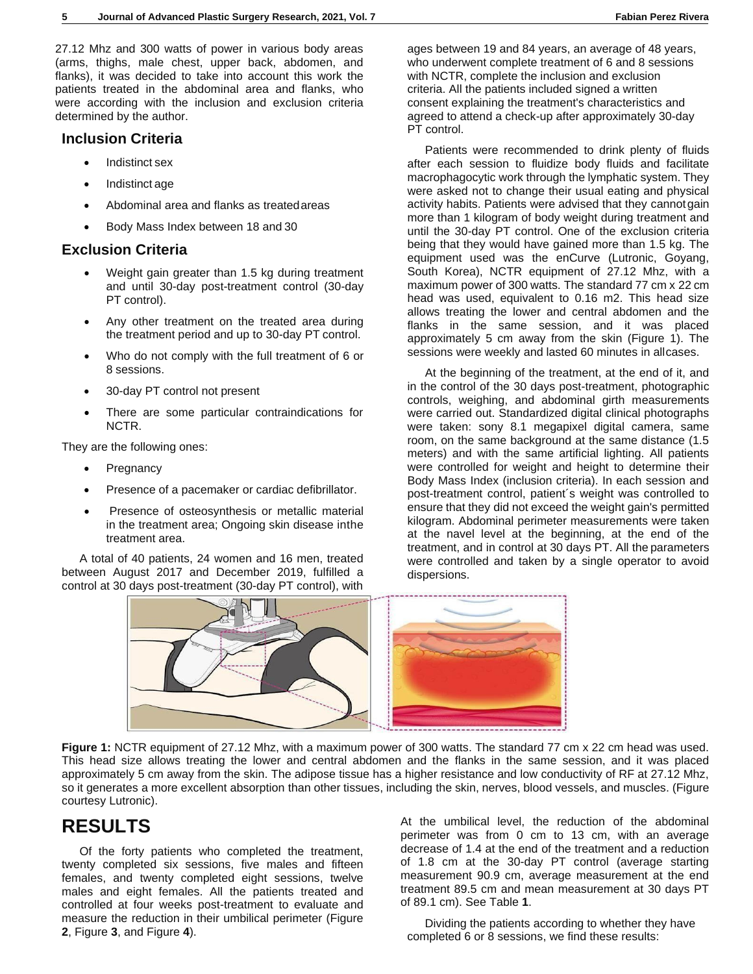27.12 Mhz and 300 watts of power in various body areas (arms, thighs, male chest, upper back, abdomen, and flanks), it was decided to take into account this work the patients treated in the abdominal area and flanks, who were according with the inclusion and exclusion criteria determined by the author.

#### **Inclusion Criteria**

- Indistinct sex
- Indistinct age
- Abdominal area and flanks as treatedareas
- Body Mass Index between 18 and 30

### **Exclusion Criteria**

- Weight gain greater than 1.5 kg during treatment and until 30-day post-treatment control (30-day PT control).
- Any other treatment on the treated area during the treatment period and up to 30-day PT control.
- Who do not comply with the full treatment of 6 or 8 sessions.
- 30-day PT control not present
- There are some particular contraindications for NCTR.

They are the following ones:

- **Pregnancy**
- Presence of a pacemaker or cardiac defibrillator.
- Presence of osteosynthesis or metallic material in the treatment area; Ongoing skin disease inthe treatment area.

A total of 40 patients, 24 women and 16 men, treated between August 2017 and December 2019, fulfilled a control at 30 days post-treatment (30-day PT control), with

ages between 19 and 84 years, an average of 48 years, who underwent complete treatment of 6 and 8 sessions with NCTR, complete the inclusion and exclusion criteria. All the patients included signed a written consent explaining the treatment's characteristics and agreed to attend a check-up after approximately 30-day PT control.

Patients were recommended to drink plenty of fluids after each session to fluidize body fluids and facilitate macrophagocytic work through the lymphatic system. They were asked not to change their usual eating and physical activity habits. Patients were advised that they cannotgain more than 1 kilogram of body weight during treatment and until the 30-day PT control. One of the exclusion criteria being that they would have gained more than 1.5 kg. The equipment used was the enCurve (Lutronic, Goyang, South Korea), NCTR equipment of 27.12 Mhz, with a maximum power of 300 watts. The standard 77 cm x 22 cm head was used, equivalent to 0.16 m2. This head size allows treating the lower and central abdomen and the flanks in the same session, and it was placed approximately 5 cm away from the skin (Figure 1). The sessions were weekly and lasted 60 minutes in allcases.

At the beginning of the treatment, at the end of it, and in the control of the 30 days post-treatment, photographic controls, weighing, and abdominal girth measurements were carried out. Standardized digital clinical photographs were taken: sony 8.1 megapixel digital camera, same room, on the same background at the same distance (1.5 meters) and with the same artificial lighting. All patients were controlled for weight and height to determine their Body Mass Index (inclusion criteria). In each session and post-treatment control, patient´s weight was controlled to ensure that they did not exceed the weight gain's permitted kilogram. Abdominal perimeter measurements were taken at the navel level at the beginning, at the end of the treatment, and in control at 30 days PT. All the parameters were controlled and taken by a single operator to avoid dispersions.



**Figure 1:** NCTR equipment of 27.12 Mhz, with a maximum power of 300 watts. The standard 77 cm x 22 cm head was used. This head size allows treating the lower and central abdomen and the flanks in the same session, and it was placed approximately 5 cm away from the skin. The adipose tissue has a higher resistance and low conductivity of RF at 27.12 Mhz, so it generates a more excellent absorption than other tissues, including the skin, nerves, blood vessels, and muscles. (Figure courtesy Lutronic).

# **RESULTS**

Of the forty patients who completed the treatment, twenty completed six sessions, five males and fifteen females, and twenty completed eight sessions, twelve males and eight females. All the patients treated and controlled at four weeks post-treatment to evaluate and measure the reduction in their umbilical perimeter (Figure **2**, Figure **3**, and Figure **4**).

At the umbilical level, the reduction of the abdominal perimeter was from 0 cm to 13 cm, with an average decrease of 1.4 at the end of the treatment and a reduction of 1.8 cm at the 30-day PT control (average starting measurement 90.9 cm, average measurement at the end treatment 89.5 cm and mean measurement at 30 days PT of 89.1 cm). See Table **1**.

Dividing the patients according to whether they have completed 6 or 8 sessions, we find these results: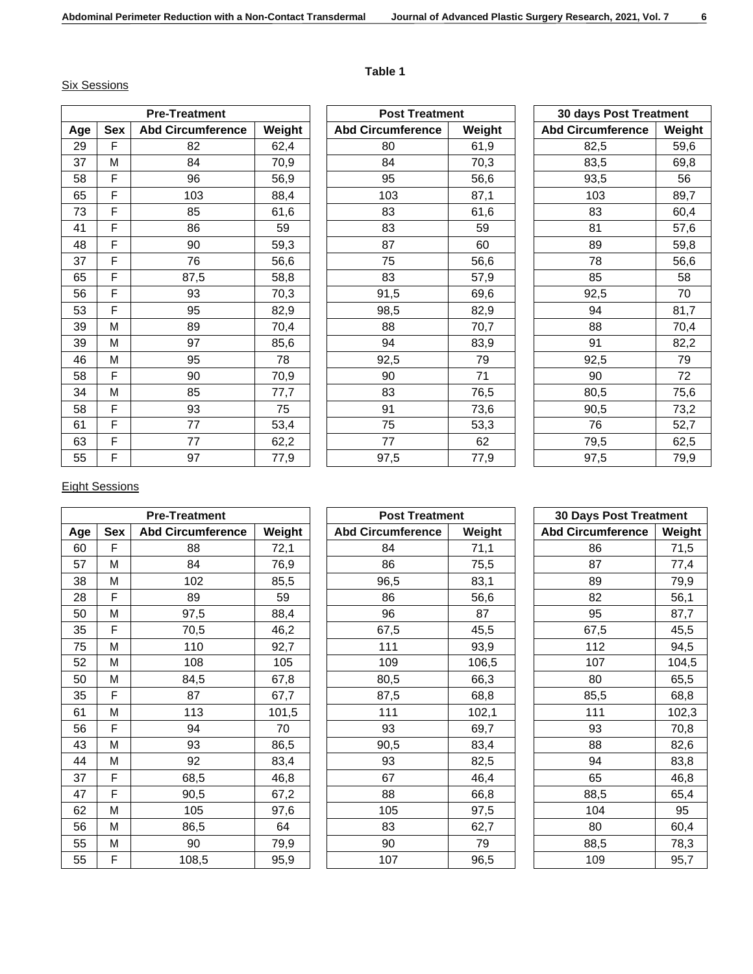### **Table 1**

#### Six Sessions

| <b>Pre-Treatment</b> |     |                          |        |  |  |
|----------------------|-----|--------------------------|--------|--|--|
| Age                  | Sex | <b>Abd Circumference</b> | Weight |  |  |
| 29                   | F   | 82                       | 62,4   |  |  |
| 37                   | M   | 84                       | 70,9   |  |  |
| 58                   | F   | 96                       | 56,9   |  |  |
| 65                   | F   | 103                      | 88,4   |  |  |
| 73                   | F   | 85                       | 61,6   |  |  |
| 41                   | F   | 86                       | 59     |  |  |
| 48                   | F   | 90                       | 59,3   |  |  |
| 37                   | F   | 76                       | 56,6   |  |  |
| 65                   | F   | 87,5                     | 58,8   |  |  |
| 56                   | F   | 93                       | 70,3   |  |  |
| 53                   | F   | 95                       | 82,9   |  |  |
| 39                   | Μ   | 89                       | 70,4   |  |  |
| 39                   | Μ   | 97                       | 85,6   |  |  |
| 46                   | Μ   | 95                       | 78     |  |  |
| 58                   | F   | 90                       | 70,9   |  |  |
| 34                   | M   | 85                       | 77,7   |  |  |
| 58                   | F   | 93                       | 75     |  |  |
| 61                   | F   | 77                       | 53,4   |  |  |
| 63                   | F   | 77                       | 62,2   |  |  |
| 55                   | F   | 97                       | 77,9   |  |  |

| <b>Post Treatment</b>    |        |  |  |
|--------------------------|--------|--|--|
| <b>Abd Circumference</b> | Weight |  |  |
| 80                       | 61,9   |  |  |
| 84                       | 70,3   |  |  |
| 95                       | 56,6   |  |  |
| 103                      | 87,1   |  |  |
| 83                       | 61,6   |  |  |
| 83                       | 59     |  |  |
| 87                       | 60     |  |  |
| 75                       | 56,6   |  |  |
| 83                       | 57,9   |  |  |
| 91,5                     | 69,6   |  |  |
| 98,5                     | 82,9   |  |  |
| 88                       | 70,7   |  |  |
| 94                       | 83,9   |  |  |
| 92,5                     | 79     |  |  |
| 90                       | 71     |  |  |
| 83                       | 76,5   |  |  |
| 91                       | 73,6   |  |  |
| 75                       | 53,3   |  |  |
| 77                       | 62     |  |  |
| 97,5                     | 77,9   |  |  |

| 30 days Post Treatment   |        |  |
|--------------------------|--------|--|
| <b>Abd Circumference</b> | Weight |  |
| 82,5                     | 59,6   |  |
| 83,5                     | 69,8   |  |
| 93,5                     | 56     |  |
| 103                      | 89,7   |  |
| 83                       | 60,4   |  |
| 81                       | 57,6   |  |
| 89                       | 59,8   |  |
| 78                       | 56,6   |  |
| 85                       | 58     |  |
| 92,5                     | 70     |  |
| 94                       | 81,7   |  |
| 88                       | 70,4   |  |
| 91                       | 82,2   |  |
| 92,5                     | 79     |  |
| 90                       | 72     |  |
| 80,5                     | 75,6   |  |
| 90,5                     | 73,2   |  |
| 76                       | 52,7   |  |
| 79,5                     | 62,5   |  |
| 97,5                     | 79,9   |  |

### Eight Sessions

| <b>Pre-Treatment</b> |     |                          |        |  |  |
|----------------------|-----|--------------------------|--------|--|--|
| Age                  | Sex | <b>Abd Circumference</b> | Weight |  |  |
| 60                   | F   | 88                       | 72,1   |  |  |
| 57                   | M   | 84                       | 76,9   |  |  |
| 38                   | М   | 102                      | 85,5   |  |  |
| 28                   | F   | 89                       | 59     |  |  |
| 50                   | Μ   | 97,5                     | 88,4   |  |  |
| 35                   | F   | 70,5                     | 46,2   |  |  |
| 75                   | M   | 110                      | 92,7   |  |  |
| 52                   | M   | 108                      | 105    |  |  |
| 50                   | М   | 84,5                     | 67,8   |  |  |
| 35                   | F   | 87                       | 67,7   |  |  |
| 61                   | Μ   | 113                      | 101,5  |  |  |
| 56                   | F   | 94                       | 70     |  |  |
| 43                   | М   | 93                       | 86,5   |  |  |
| 44                   | Μ   | 92                       | 83,4   |  |  |
| 37                   | F   | 68,5                     | 46,8   |  |  |
| 47                   | F   | 90,5                     | 67,2   |  |  |
| 62                   | Μ   | 105                      | 97,6   |  |  |
| 56                   | M   | 86,5                     | 64     |  |  |
| 55                   | Μ   | 90                       | 79,9   |  |  |
| 55                   | F   | 108,5                    | 95,9   |  |  |

| <b>Post Treatment</b>    |        |  |  |
|--------------------------|--------|--|--|
| <b>Abd Circumference</b> | Weight |  |  |
| 84                       | 71,1   |  |  |
| 86                       | 75,5   |  |  |
| 96,5                     | 83,1   |  |  |
| 86                       | 56,6   |  |  |
| 96                       | 87     |  |  |
| 67,5                     | 45,5   |  |  |
| 111                      | 93,9   |  |  |
| 109                      | 106,5  |  |  |
| 80,5                     | 66,3   |  |  |
| 87,5                     | 68,8   |  |  |
| 111                      | 102,1  |  |  |
| 93                       | 69,7   |  |  |
| 90,5                     | 83,4   |  |  |
| 93                       | 82,5   |  |  |
| 67                       | 46,4   |  |  |
| 88                       | 66,8   |  |  |
| 105                      | 97,5   |  |  |
| 83                       | 62,7   |  |  |
| 90                       | 79     |  |  |
| 107                      | 96,5   |  |  |
|                          |        |  |  |

| <b>30 Days Post Treatment</b> |        |  |
|-------------------------------|--------|--|
| <b>Abd Circumference</b>      | Weight |  |
| 86                            | 71,5   |  |
| 87                            | 77,4   |  |
| 89                            | 79,9   |  |
| 82                            | 56,1   |  |
| 95                            | 87,7   |  |
| 67,5                          | 45,5   |  |
| 112                           | 94,5   |  |
| 107                           | 104,5  |  |
| 80                            | 65,5   |  |
| 85,5                          | 68,8   |  |
| 111                           | 102,3  |  |
| 93                            | 70,8   |  |
| 88                            | 82,6   |  |
| 94                            | 83,8   |  |
| 65                            | 46,8   |  |
| 88,5                          | 65,4   |  |
| 104                           | 95     |  |
| 80                            | 60,4   |  |
| 88,5                          | 78,3   |  |
| 109                           | 95,7   |  |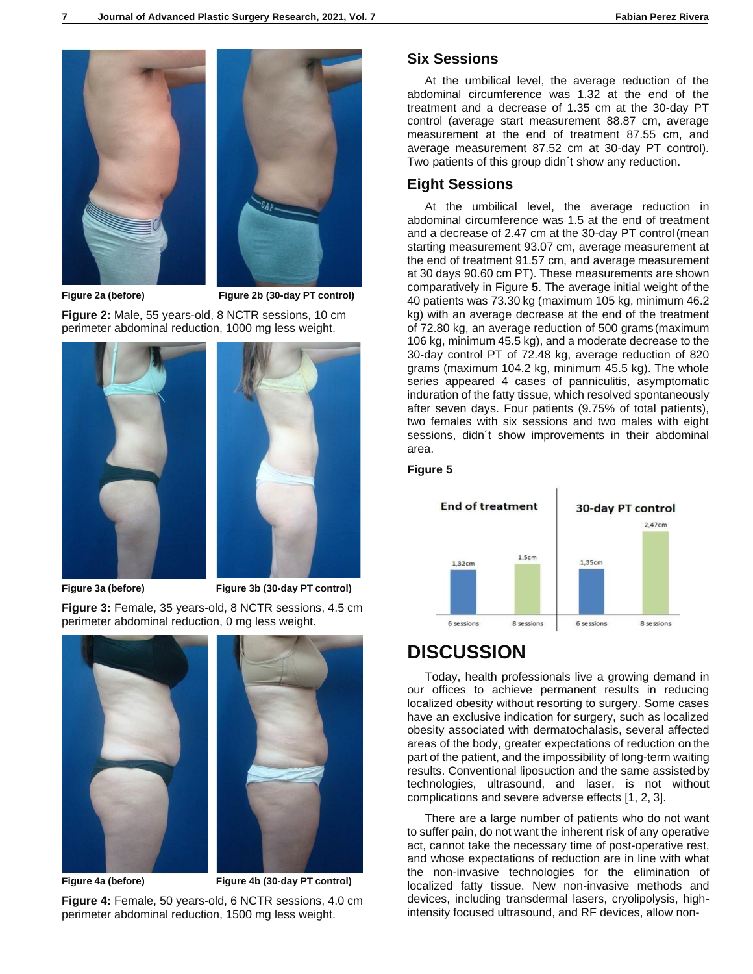

**Figure 2a (before) Figure 2b (30-day PT control)**

**Figure 2:** Male, 55 years-old, 8 NCTR sessions, 10 cm perimeter abdominal reduction, 1000 mg less weight.





**Figure 3a (before) Figure 3b (30-day PT control)**

**Figure 3:** Female, 35 years-old, 8 NCTR sessions, 4.5 cm perimeter abdominal reduction, 0 mg less weight.



**Figure 4a (before) Figure 4b (30-day PT control)**

**Figure 4:** Female, 50 years-old, 6 NCTR sessions, 4.0 cm perimeter abdominal reduction, 1500 mg less weight.

#### **Six Sessions**

At the umbilical level, the average reduction of the abdominal circumference was 1.32 at the end of the treatment and a decrease of 1.35 cm at the 30-day PT control (average start measurement 88.87 cm, average measurement at the end of treatment 87.55 cm, and average measurement 87.52 cm at 30-day PT control). Two patients of this group didn´t show any reduction.

#### **Eight Sessions**

At the umbilical level, the average reduction in abdominal circumference was 1.5 at the end of treatment and a decrease of 2.47 cm at the 30-day PT control(mean starting measurement 93.07 cm, average measurement at the end of treatment 91.57 cm, and average measurement at 30 days 90.60 cm PT). These measurements are shown comparatively in Figure **5**. The average initial weight of the 40 patients was 73.30 kg (maximum 105 kg, minimum 46.2 kg) with an average decrease at the end of the treatment of 72.80 kg, an average reduction of 500 grams(maximum 106 kg, minimum 45.5 kg), and a moderate decrease to the 30-day control PT of 72.48 kg, average reduction of 820 grams (maximum 104.2 kg, minimum 45.5 kg). The whole series appeared 4 cases of panniculitis, asymptomatic induration of the fatty tissue, which resolved spontaneously after seven days. Four patients (9.75% of total patients), two females with six sessions and two males with eight sessions, didn´t show improvements in their abdominal area.

#### **Figure 5**



### **DISCUSSION**

Today, health professionals live a growing demand in our offices to achieve permanent results in reducing localized obesity without resorting to surgery. Some cases have an exclusive indication for surgery, such as localized obesity associated with dermatochalasis, several affected areas of the body, greater expectations of reduction on the part of the patient, and the impossibility of long-term waiting results. Conventional liposuction and the same assistedby technologies, ultrasound, and laser, is not without complications and severe adverse effects [1, 2, 3].

There are a large number of patients who do not want to suffer pain, do not want the inherent risk of any operative act, cannot take the necessary time of post-operative rest, and whose expectations of reduction are in line with what the non-invasive technologies for the elimination of localized fatty tissue. New non-invasive methods and devices, including transdermal lasers, cryolipolysis, highintensity focused ultrasound, and RF devices, allow non-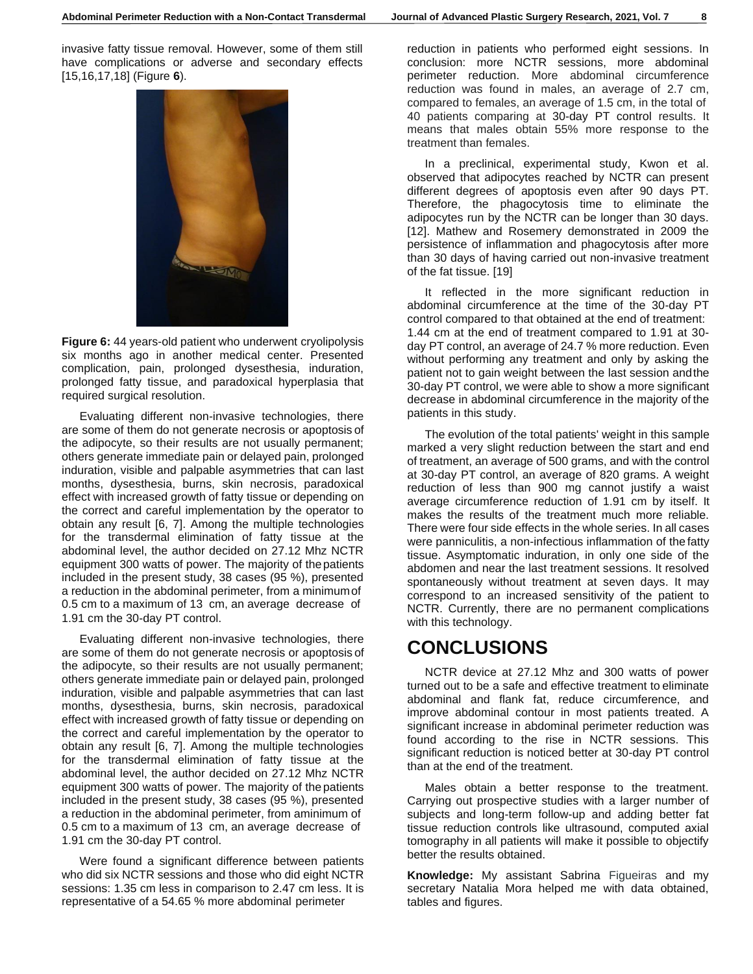invasive fatty tissue removal. However, some of them still have complications or adverse and secondary effects [15,16,17,18] (Figure **6**).



**Figure 6:** 44 years-old patient who underwent cryolipolysis six months ago in another medical center. Presented complication, pain, prolonged dysesthesia, induration, prolonged fatty tissue, and paradoxical hyperplasia that required surgical resolution.

Evaluating different non-invasive technologies, there are some of them do not generate necrosis or apoptosis of the adipocyte, so their results are not usually permanent; others generate immediate pain or delayed pain, prolonged induration, visible and palpable asymmetries that can last months, dysesthesia, burns, skin necrosis, paradoxical effect with increased growth of fatty tissue or depending on the correct and careful implementation by the operator to obtain any result [6, 7]. Among the multiple technologies for the transdermal elimination of fatty tissue at the abdominal level, the author decided on 27.12 Mhz NCTR equipment 300 watts of power. The majority of thepatients included in the present study, 38 cases (95 %), presented a reduction in the abdominal perimeter, from a minimumof 0.5 cm to a maximum of 13 cm, an average decrease of 1.91 cm the 30-day PT control.

Evaluating different non-invasive technologies, there are some of them do not generate necrosis or apoptosis of the adipocyte, so their results are not usually permanent; others generate immediate pain or delayed pain, prolonged induration, visible and palpable asymmetries that can last months, dysesthesia, burns, skin necrosis, paradoxical effect with increased growth of fatty tissue or depending on the correct and careful implementation by the operator to obtain any result [6, 7]. Among the multiple technologies for the transdermal elimination of fatty tissue at the abdominal level, the author decided on 27.12 Mhz NCTR equipment 300 watts of power. The majority of thepatients included in the present study, 38 cases (95 %), presented a reduction in the abdominal perimeter, from aminimum of 0.5 cm to a maximum of 13 cm, an average decrease of 1.91 cm the 30-day PT control.

Were found a significant difference between patients who did six NCTR sessions and those who did eight NCTR sessions: 1.35 cm less in comparison to 2.47 cm less. It is representative of a 54.65 % more abdominal perimeter

reduction in patients who performed eight sessions. In conclusion: more NCTR sessions, more abdominal perimeter reduction. More abdominal circumference reduction was found in males, an average of 2.7 cm, compared to females, an average of 1.5 cm, in the total of 40 patients comparing at 30-day PT control results. It means that males obtain 55% more response to the treatment than females.

In a preclinical, experimental study, Kwon et al. observed that adipocytes reached by NCTR can present different degrees of apoptosis even after 90 days PT. Therefore, the phagocytosis time to eliminate the adipocytes run by the NCTR can be longer than 30 days. [12]. Mathew and Rosemery demonstrated in 2009 the persistence of inflammation and phagocytosis after more than 30 days of having carried out non-invasive treatment of the fat tissue. [19]

It reflected in the more significant reduction in abdominal circumference at the time of the 30-day PT control compared to that obtained at the end of treatment: 1.44 cm at the end of treatment compared to 1.91 at 30 day PT control, an average of 24.7 % more reduction. Even without performing any treatment and only by asking the patient not to gain weight between the last session andthe 30-day PT control, we were able to show a more significant decrease in abdominal circumference in the majority of the patients in this study.

The evolution of the total patients' weight in this sample marked a very slight reduction between the start and end of treatment, an average of 500 grams, and with the control at 30-day PT control, an average of 820 grams. A weight reduction of less than 900 mg cannot justify a waist average circumference reduction of 1.91 cm by itself. It makes the results of the treatment much more reliable. There were four side effects in the whole series. In all cases were panniculitis, a non-infectious inflammation of the fatty tissue. Asymptomatic induration, in only one side of the abdomen and near the last treatment sessions. It resolved spontaneously without treatment at seven days. It may correspond to an increased sensitivity of the patient to NCTR. Currently, there are no permanent complications with this technology.

## **CONCLUSIONS**

NCTR device at 27.12 Mhz and 300 watts of power turned out to be a safe and effective treatment to eliminate abdominal and flank fat, reduce circumference, and improve abdominal contour in most patients treated. A significant increase in abdominal perimeter reduction was found according to the rise in NCTR sessions. This significant reduction is noticed better at 30-day PT control than at the end of the treatment.

Males obtain a better response to the treatment. Carrying out prospective studies with a larger number of subjects and long-term follow-up and adding better fat tissue reduction controls like ultrasound, computed axial tomography in all patients will make it possible to objectify better the results obtained.

**Knowledge:** My assistant Sabrina Figueiras and my secretary Natalia Mora helped me with data obtained, tables and figures.